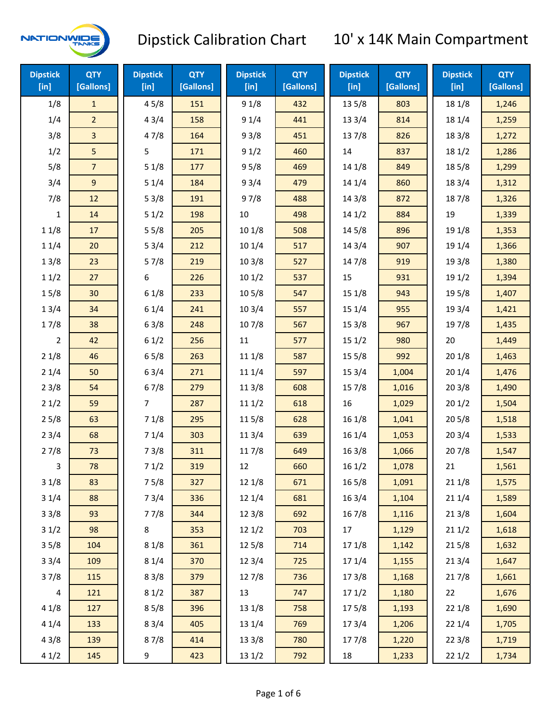

| <b>Dipstick</b><br>[in] | <b>QTY</b><br>[Gallons] | <b>Dipstick</b><br>[in] | <b>QTY</b><br>[Gallons] | <b>Dipstick</b><br>[in] | <b>QTY</b><br>[Gallons] | <b>Dipstick</b><br>[in] | <b>QTY</b><br>[Gallons] | <b>Dipstick</b><br>[in] | <b>QTY</b><br>[Gallons] |
|-------------------------|-------------------------|-------------------------|-------------------------|-------------------------|-------------------------|-------------------------|-------------------------|-------------------------|-------------------------|
| 1/8                     | $\mathbf{1}$            | 45/8                    | 151                     | 91/8                    | 432                     | 13 5/8                  | 803                     | 18 1/8                  | 1,246                   |
| 1/4                     | $\overline{2}$          | 43/4                    | 158                     | 91/4                    | 441                     | 133/4                   | 814                     | 18 1/4                  | 1,259                   |
| 3/8                     | $\overline{3}$          | 47/8                    | 164                     | 93/8                    | 451                     | 137/8                   | 826                     | 18 3/8                  | 1,272                   |
| 1/2                     | 5                       | 5                       | 171                     | 91/2                    | 460                     | 14                      | 837                     | 18 1/2                  | 1,286                   |
| 5/8                     | $\overline{7}$          | 51/8                    | 177                     | 95/8                    | 469                     | 14 1/8                  | 849                     | 185/8                   | 1,299                   |
| 3/4                     | $9\,$                   | 51/4                    | 184                     | 93/4                    | 479                     | 14 1/4                  | 860                     | 18 3/4                  | 1,312                   |
| 7/8                     | 12                      | 53/8                    | 191                     | 97/8                    | 488                     | 14 3/8                  | 872                     | 187/8                   | 1,326                   |
| 1                       | 14                      | 51/2                    | 198                     | 10                      | 498                     | 141/2                   | 884                     | 19                      | 1,339                   |
| 11/8                    | 17                      | 55/8                    | 205                     | 101/8                   | 508                     | 145/8                   | 896                     | 19 1/8                  | 1,353                   |
| 11/4                    | 20                      | 53/4                    | 212                     | 101/4                   | 517                     | 143/4                   | 907                     | 19 1/4                  | 1,366                   |
| 13/8                    | 23                      | 57/8                    | 219                     | 103/8                   | 527                     | 147/8                   | 919                     | 19 3/8                  | 1,380                   |
| 11/2                    | 27                      | 6                       | 226                     | 101/2                   | 537                     | 15                      | 931                     | 19 1/2                  | 1,394                   |
| 15/8                    | 30                      | 61/8                    | 233                     | 10 <sub>5/8</sub>       | 547                     | 15 1/8                  | 943                     | 195/8                   | 1,407                   |
| 13/4                    | 34                      | 61/4                    | 241                     | 103/4                   | 557                     | 151/4                   | 955                     | 19 3/4                  | 1,421                   |
| 17/8                    | 38                      | 63/8                    | 248                     | 107/8                   | 567                     | 153/8                   | 967                     | 197/8                   | 1,435                   |
| 2                       | 42                      | 61/2                    | 256                     | 11                      | 577                     | 151/2                   | 980                     | 20                      | 1,449                   |
| 21/8                    | 46                      | 65/8                    | 263                     | 11 1/8                  | 587                     | 15 5/8                  | 992                     | 201/8                   | 1,463                   |
| 21/4                    | 50                      | 63/4                    | 271                     | 11 1/4                  | 597                     | 153/4                   | 1,004                   | 201/4                   | 1,476                   |
| 23/8                    | 54                      | 67/8                    | 279                     | 11 3/8                  | 608                     | 15 7/8                  | 1,016                   | 203/8                   | 1,490                   |
| 21/2                    | 59                      | $\overline{7}$          | 287                     | 111/2                   | 618                     | 16                      | 1,029                   | 201/2                   | 1,504                   |
| 25/8                    | 63                      | 71/8                    | 295                     | 115/8                   | 628                     | 16 1/8                  | 1,041                   | 205/8                   | 1,518                   |
| 23/4                    | 68                      | 71/4                    | 303                     | 113/4                   | 639                     | 161/4                   | 1,053                   | 203/4                   | 1,533                   |
| 27/8                    | 73                      | 73/8                    | 311                     | 11 7/8                  | 649                     | 163/8                   | 1,066                   | 207/8                   | 1,547                   |
| 3                       | 78                      | 71/2                    | 319                     | 12                      | 660                     | 161/2                   | 1,078                   | 21                      | 1,561                   |
| 31/8                    | 83                      | 75/8                    | 327                     | 12 1/8                  | 671                     | 16 5/8                  | 1,091                   | 211/8                   | 1,575                   |
| 31/4                    | 88                      | 73/4                    | 336                     | 12 1/4                  | 681                     | 16 3/4                  | 1,104                   | 211/4                   | 1,589                   |
| 33/8                    | 93                      | 77/8                    | 344                     | 12 3/8                  | 692                     | 16 7/8                  | 1,116                   | 213/8                   | 1,604                   |
| 31/2                    | 98                      | 8                       | 353                     | 121/2                   | 703                     | 17                      | 1,129                   | 211/2                   | 1,618                   |
| 35/8                    | 104                     | 81/8                    | 361                     | 12 5/8                  | 714                     | 17 1/8                  | 1,142                   | 215/8                   | 1,632                   |
| 33/4                    | 109                     | 81/4                    | 370                     | 12 3/4                  | 725                     | 17 1/4                  | 1,155                   | 213/4                   | 1,647                   |
| 37/8                    | 115                     | 83/8                    | 379                     | 127/8                   | 736                     | 173/8                   | 1,168                   | 217/8                   | 1,661                   |
| 4                       | 121                     | 81/2                    | 387                     | 13                      | 747                     | 171/2                   | 1,180                   | 22                      | 1,676                   |
| 41/8                    | 127                     | 85/8                    | 396                     | 13 1/8                  | 758                     | 175/8                   | 1,193                   | 221/8                   | 1,690                   |
| 41/4                    | 133                     | 83/4                    | 405                     | 13 1/4                  | 769                     | 17 3/4                  | 1,206                   | 221/4                   | 1,705                   |
| 43/8                    | 139                     | 87/8                    | 414                     | 13 3/8                  | 780                     | 177/8                   | 1,220                   | 223/8                   | 1,719                   |
| 41/2                    | 145                     | 9                       | 423                     | 13 1/2                  | 792                     | 18                      | 1,233                   | 221/2                   | 1,734                   |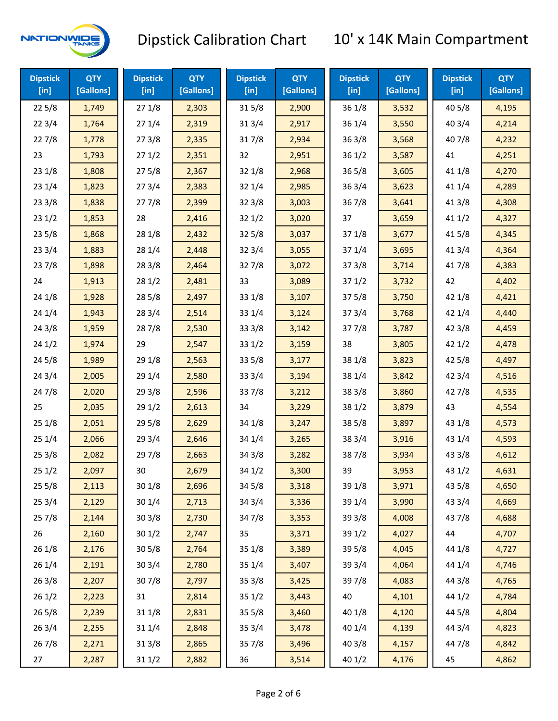

| <b>Dipstick</b><br>$[$ in] | <b>QTY</b><br>[Gallons] | <b>Dipstick</b><br>$[$ in] | <b>QTY</b><br>[Gallons] | <b>Dipstick</b><br>$[$ in] | <b>QTY</b><br>[Gallons] | <b>Dipstick</b><br>$[$ in] | <b>QTY</b><br>[Gallons] | <b>Dipstick</b><br>$[$ in] | <b>QTY</b><br>[Gallons] |
|----------------------------|-------------------------|----------------------------|-------------------------|----------------------------|-------------------------|----------------------------|-------------------------|----------------------------|-------------------------|
| 225/8                      | 1,749                   | 271/8                      | 2,303                   | 315/8                      | 2,900                   | 36 1/8                     | 3,532                   | 40 5/8                     | 4,195                   |
| 223/4                      | 1,764                   | 271/4                      | 2,319                   | 31 3/4                     | 2,917                   | 36 1/4                     | 3,550                   | 40 3/4                     | 4,214                   |
| 227/8                      | 1,778                   | 273/8                      | 2,335                   | 317/8                      | 2,934                   | 363/8                      | 3,568                   | 407/8                      | 4,232                   |
| 23                         | 1,793                   | 271/2                      | 2,351                   | 32                         | 2,951                   | 361/2                      | 3,587                   | 41                         | 4,251                   |
| 231/8                      | 1,808                   | 275/8                      | 2,367                   | 32 1/8                     | 2,968                   | $36\,5/8$                  | 3,605                   | 41 1/8                     | 4,270                   |
| 231/4                      | 1,823                   | 273/4                      | 2,383                   | 32 1/4                     | 2,985                   | 363/4                      | 3,623                   | 41 1/4                     | 4,289                   |
| 233/8                      | 1,838                   | 277/8                      | 2,399                   | 32 3/8                     | 3,003                   | 36 7/8                     | 3,641                   | 41 3/8                     | 4,308                   |
| 231/2                      | 1,853                   | 28                         | 2,416                   | 321/2                      | 3,020                   | 37                         | 3,659                   | 411/2                      | 4,327                   |
| 235/8                      | 1,868                   | 28 1/8                     | 2,432                   | 325/8                      | 3,037                   | 371/8                      | 3,677                   | 41 5/8                     | 4,345                   |
| 233/4                      | 1,883                   | 28 1/4                     | 2,448                   | 32 3/4                     | 3,055                   | 37 1/4                     | 3,695                   | 41 3/4                     | 4,364                   |
| 237/8                      | 1,898                   | 28 3/8                     | 2,464                   | 327/8                      | 3,072                   | 373/8                      | 3,714                   | 417/8                      | 4,383                   |
| 24                         | 1,913                   | 281/2                      | 2,481                   | 33                         | 3,089                   | 371/2                      | 3,732                   | 42                         | 4,402                   |
| 241/8                      | 1,928                   | 28 5/8                     | 2,497                   | 33 1/8                     | 3,107                   | 375/8                      | 3,750                   | 42 1/8                     | 4,421                   |
| 241/4                      | 1,943                   | 28 3/4                     | 2,514                   | 33 1/4                     | 3,124                   | 373/4                      | 3,768                   | 42 1/4                     | 4,440                   |
| 243/8                      | 1,959                   | 287/8                      | 2,530                   | 33 3/8                     | 3,142                   | 377/8                      | 3,787                   | 42 3/8                     | 4,459                   |
| 241/2                      | 1,974                   | 29                         | 2,547                   | 33 1/2                     | 3,159                   | 38                         | 3,805                   | 421/2                      | 4,478                   |
| 245/8                      | 1,989                   | 29 1/8                     | 2,563                   | 33 5/8                     | 3,177                   | 38 1/8                     | 3,823                   | 42 5/8                     | 4,497                   |
| 243/4                      | 2,005                   | 29 1/4                     | 2,580                   | 33 3/4                     | 3,194                   | 38 1/4                     | 3,842                   | 42 3/4                     | 4,516                   |
| 24 7/8                     | 2,020                   | 293/8                      | 2,596                   | 337/8                      | 3,212                   | 38 3/8                     | 3,860                   | 42 7/8                     | 4,535                   |
| 25                         | 2,035                   | 291/2                      | 2,613                   | 34                         | 3,229                   | 38 1/2                     | 3,879                   | 43                         | 4,554                   |
| 251/8                      | 2,051                   | 29 5/8                     | 2,629                   | 34 1/8                     | 3,247                   | 385/8                      | 3,897                   | 43 1/8                     | 4,573                   |
| 251/4                      | 2,066                   | 29 3/4                     | 2,646                   | 34 1/4                     | 3,265                   | 38 3/4                     | 3,916                   | 43 1/4                     | 4,593                   |
| 253/8                      | 2,082                   | 297/8                      | 2,663                   | 34 3/8                     | 3,282                   | 387/8                      | 3,934                   | 43 3/8                     | 4,612                   |
| 251/2                      | 2,097                   | 30                         | 2,679                   | 34 1/2                     | 3,300                   | 39                         | 3,953                   | 43 1/2                     | 4,631                   |
| 255/8                      | 2,113                   | 301/8                      | 2,696                   | 34 5/8                     | 3,318                   | 39 1/8                     | 3,971                   | 43 5/8                     | 4,650                   |
| 253/4                      | 2,129                   | 30 1/4                     | 2,713                   | 34 3/4                     | 3,336                   | 39 1/4                     | 3,990                   | 43 3/4                     | 4,669                   |
| 257/8                      | 2,144                   | 303/8                      | 2,730                   | 347/8                      | 3,353                   | 39 3/8                     | 4,008                   | 437/8                      | 4,688                   |
| 26                         | 2,160                   | 301/2                      | 2,747                   | 35                         | 3,371                   | 39 1/2                     | 4,027                   | 44                         | 4,707                   |
| 261/8                      | 2,176                   | 30 5/8                     | 2,764                   | 35 1/8                     | 3,389                   | 39 5/8                     | 4,045                   | 44 1/8                     | 4,727                   |
| 261/4                      | 2,191                   | 30 3/4                     | 2,780                   | 35 1/4                     | 3,407                   | 39 3/4                     | 4,064                   | 44 1/4                     | 4,746                   |
| 263/8                      | 2,207                   | 307/8                      | 2,797                   | 35 3/8                     | 3,425                   | 397/8                      | 4,083                   | 44 3/8                     | 4,765                   |
| 261/2                      | 2,223                   | 31                         | 2,814                   | 35 1/2                     | 3,443                   | 40                         | 4,101                   | 44 1/2                     | 4,784                   |
| 265/8                      | 2,239                   | 31 1/8                     | 2,831                   | 35 5/8                     | 3,460                   | 40 1/8                     | 4,120                   | 44 5/8                     | 4,804                   |
| 263/4                      | 2,255                   | 31 1/4                     | 2,848                   | 35 3/4                     | 3,478                   | 40 1/4                     | 4,139                   | 44 3/4                     | 4,823                   |
| 267/8                      | 2,271                   | 313/8                      | 2,865                   | 357/8                      | 3,496                   | 40 3/8                     | 4,157                   | 447/8                      | 4,842                   |
| 27                         | 2,287                   | 31 1/2                     | 2,882                   | 36                         | 3,514                   | 40 1/2                     | 4,176                   | 45                         | 4,862                   |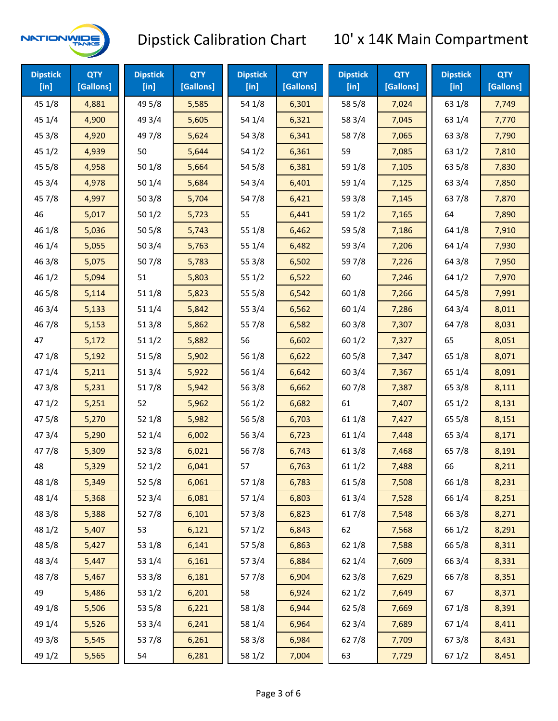

| <b>Dipstick</b><br>$[$ in] | <b>QTY</b><br>[Gallons] | <b>Dipstick</b><br>$[$ in] | <b>QTY</b><br>[Gallons] | <b>Dipstick</b><br>$[$ in] | <b>QTY</b><br>[Gallons] | <b>Dipstick</b><br>$[$ in] | <b>QTY</b><br>[Gallons] | <b>Dipstick</b><br>$[$ in] | <b>QTY</b><br>[Gallons] |
|----------------------------|-------------------------|----------------------------|-------------------------|----------------------------|-------------------------|----------------------------|-------------------------|----------------------------|-------------------------|
| 45 1/8                     | 4,881                   | 49 5/8                     | 5,585                   | 54 1/8                     | 6,301                   | 58 5/8                     | 7,024                   | 63 1/8                     | 7,749                   |
| 45 1/4                     | 4,900                   | 49 3/4                     | 5,605                   | 54 1/4                     | 6,321                   | 58 3/4                     | 7,045                   | 63 1/4                     | 7,770                   |
| 45 3/8                     | 4,920                   | 49 7/8                     | 5,624                   | 54 3/8                     | 6,341                   | 587/8                      | 7,065                   | 63 3/8                     | 7,790                   |
| 451/2                      | 4,939                   | 50                         | 5,644                   | 54 1/2                     | 6,361                   | 59                         | 7,085                   | 63 1/2                     | 7,810                   |
| 45 5/8                     | 4,958                   | 50 1/8                     | 5,664                   | 54 5/8                     | 6,381                   | 59 1/8                     | 7,105                   | 63 5/8                     | 7,830                   |
| 45 3/4                     | 4,978                   | 50 1/4                     | 5,684                   | 54 3/4                     | 6,401                   | 59 1/4                     | 7,125                   | 63 3/4                     | 7,850                   |
| 45 7/8                     | 4,997                   | 503/8                      | 5,704                   | 54 7/8                     | 6,421                   | 59 3/8                     | 7,145                   | 63 7/8                     | 7,870                   |
| 46                         | 5,017                   | 501/2                      | 5,723                   | 55                         | 6,441                   | 59 1/2                     | 7,165                   | 64                         | 7,890                   |
| 46 1/8                     | 5,036                   | 50 5/8                     | 5,743                   | 55 1/8                     | 6,462                   | 59 5/8                     | 7,186                   | 64 1/8                     | 7,910                   |
| 46 1/4                     | 5,055                   | 50 3/4                     | 5,763                   | 55 1/4                     | 6,482                   | 59 3/4                     | 7,206                   | 64 1/4                     | 7,930                   |
| 46 3/8                     | 5,075                   | 507/8                      | 5,783                   | 55 3/8                     | 6,502                   | 597/8                      | 7,226                   | 64 3/8                     | 7,950                   |
| 46 1/2                     | 5,094                   | 51                         | 5,803                   | 55 1/2                     | 6,522                   | 60                         | 7,246                   | 64 1/2                     | 7,970                   |
| 46 5/8                     | 5,114                   | 511/8                      | 5,823                   | 55 5/8                     | 6,542                   | 60 1/8                     | 7,266                   | 64 5/8                     | 7,991                   |
| 46 3/4                     | 5,133                   | 51 1/4                     | 5,842                   | 55 3/4                     | 6,562                   | 60 1/4                     | 7,286                   | 64 3/4                     | 8,011                   |
| 46 7/8                     | 5,153                   | 513/8                      | 5,862                   | 55 7/8                     | 6,582                   | 603/8                      | 7,307                   | 64 7/8                     | 8,031                   |
| 47                         | 5,172                   | 511/2                      | 5,882                   | 56                         | 6,602                   | 60 1/2                     | 7,327                   | 65                         | 8,051                   |
| 47 1/8                     | 5,192                   | 515/8                      | 5,902                   | 56 1/8                     | 6,622                   | 60 5/8                     | 7,347                   | 65 1/8                     | 8,071                   |
| 47 1/4                     | 5,211                   | 51 3/4                     | 5,922                   | 56 1/4                     | 6,642                   | 60 3/4                     | 7,367                   | 65 1/4                     | 8,091                   |
| 47 3/8                     | 5,231                   | 517/8                      | 5,942                   | 56 3/8                     | 6,662                   | 607/8                      | 7,387                   | 65 3/8                     | 8,111                   |
| 471/2                      | 5,251                   | 52                         | 5,962                   | 56 1/2                     | 6,682                   | 61                         | 7,407                   | 65 1/2                     | 8,131                   |
| 475/8                      | 5,270                   | 52 1/8                     | 5,982                   | 56 5/8                     | 6,703                   | 61 1/8                     | 7,427                   | 65 5/8                     | 8,151                   |
| 47 3/4                     | 5,290                   | 52 1/4                     | 6,002                   | 56 3/4                     | 6,723                   | 61 1/4                     | 7,448                   | 65 3/4                     | 8,171                   |
| 47 7/8                     | 5,309                   | 52 3/8                     | 6,021                   | 56 7/8                     | 6,743                   | 61 3/8                     | 7,468                   | 65 7/8                     | 8,191                   |
| 48                         | 5,329                   | 521/2                      | 6,041                   | 57                         | 6,763                   | 611/2                      | 7,488                   | 66                         | 8,211                   |
| 48 1/8                     | 5,349                   | 525/8                      | 6,061                   | 57 1/8                     | 6,783                   | 615/8                      | 7,508                   | 66 1/8                     | 8,231                   |
| 48 1/4                     | 5,368                   | 52 3/4                     | 6,081                   | 57 1/4                     | 6,803                   | 613/4                      | 7,528                   | 66 1/4                     | 8,251                   |
| 48 3/8                     | 5,388                   | 527/8                      | 6,101                   | 57 3/8                     | 6,823                   | 617/8                      | 7,548                   | 66 3/8                     | 8,271                   |
| 48 1/2                     | 5,407                   | 53                         | 6,121                   | 571/2                      | 6,843                   | 62                         | 7,568                   | 66 1/2                     | 8,291                   |
| 48 5/8                     | 5,427                   | 53 1/8                     | 6,141                   | 57 5/8                     | 6,863                   | 62 1/8                     | 7,588                   | 66 5/8                     | 8,311                   |
| 48 3/4                     | 5,447                   | 53 1/4                     | 6,161                   | 573/4                      | 6,884                   | 621/4                      | 7,609                   | 66 3/4                     | 8,331                   |
| 487/8                      | 5,467                   | 53 3/8                     | 6,181                   | 577/8                      | 6,904                   | 62 3/8                     | 7,629                   | 667/8                      | 8,351                   |
| 49                         | 5,486                   | 53 1/2                     | 6,201                   | 58                         | 6,924                   | 62 1/2                     | 7,649                   | 67                         | 8,371                   |
| 49 1/8                     | 5,506                   | 53 5/8                     | 6,221                   | 58 1/8                     | 6,944                   | 62 5/8                     | 7,669                   | 671/8                      | 8,391                   |
| 49 1/4                     | 5,526                   | 53 3/4                     | 6,241                   | 58 1/4                     | 6,964                   | 62 3/4                     | 7,689                   | 67 1/4                     | 8,411                   |
| 49 3/8                     | 5,545                   | 537/8                      | 6,261                   | 58 3/8                     | 6,984                   | 627/8                      | 7,709                   | 67 3/8                     | 8,431                   |
| 49 1/2                     | 5,565                   | 54                         | 6,281                   | 58 1/2                     | 7,004                   | 63                         | 7,729                   | 67 1/2                     | 8,451                   |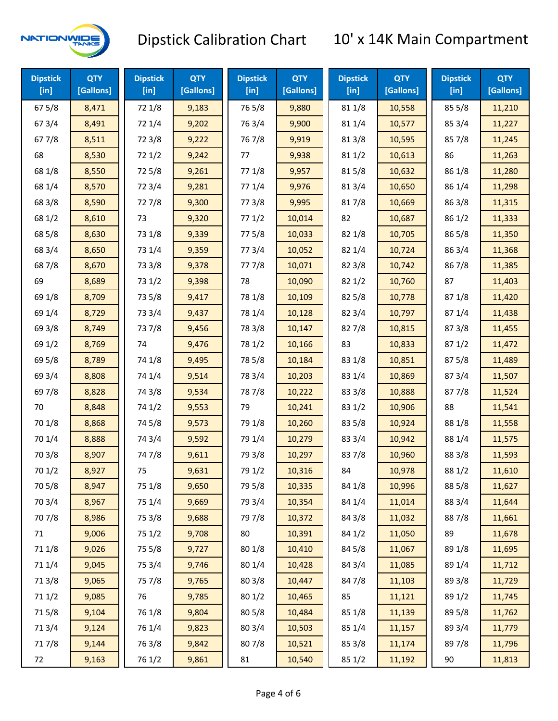

| <b>Dipstick</b><br>$[$ in] | <b>QTY</b><br>[Gallons] | <b>Dipstick</b><br>$[$ in] | <b>QTY</b><br>[Gallons] | <b>Dipstick</b><br>$[$ in] | <b>QTY</b><br>[Gallons] | <b>Dipstick</b><br>$[$ in] | <b>QTY</b><br>[Gallons] | <b>Dipstick</b><br>[in] | <b>QTY</b><br>[Gallons] |
|----------------------------|-------------------------|----------------------------|-------------------------|----------------------------|-------------------------|----------------------------|-------------------------|-------------------------|-------------------------|
| 675/8                      | 8,471                   | 72 1/8                     | 9,183                   | 765/8                      | 9,880                   | 81 1/8                     | 10,558                  | 855/8                   | 11,210                  |
| 67 3/4                     | 8,491                   | 72 1/4                     | 9,202                   | 763/4                      | 9,900                   | 81 1/4                     | 10,577                  | 85 3/4                  | 11,227                  |
| 677/8                      | 8,511                   | 72 3/8                     | 9,222                   | 767/8                      | 9,919                   | 81 3/8                     | 10,595                  | 85 7/8                  | 11,245                  |
| 68                         | 8,530                   | 721/2                      | 9,242                   | 77                         | 9,938                   | 811/2                      | 10,613                  | 86                      | 11,263                  |
| 68 1/8                     | 8,550                   | 725/8                      | 9,261                   | 77 1/8                     | 9,957                   | 815/8                      | 10,632                  | 86 1/8                  | 11,280                  |
| 68 1/4                     | 8,570                   | 72 3/4                     | 9,281                   | 77 1/4                     | 9,976                   | 813/4                      | 10,650                  | 86 1/4                  | 11,298                  |
| 68 3/8                     | 8,590                   | 727/8                      | 9,300                   | 77 3/8                     | 9,995                   | 817/8                      | 10,669                  | 86 3/8                  | 11,315                  |
| 68 1/2                     | 8,610                   | 73                         | 9,320                   | 771/2                      | 10,014                  | 82                         | 10,687                  | 86 1/2                  | 11,333                  |
| 68 5/8                     | 8,630                   | 73 1/8                     | 9,339                   | 775/8                      | 10,033                  | 82 1/8                     | 10,705                  | 86 5/8                  | 11,350                  |
| 68 3/4                     | 8,650                   | 73 1/4                     | 9,359                   | 773/4                      | 10,052                  | 82 1/4                     | 10,724                  | 86 3/4                  | 11,368                  |
| 687/8                      | 8,670                   | 73 3/8                     | 9,378                   | 777/8                      | 10,071                  | 82 3/8                     | 10,742                  | 867/8                   | 11,385                  |
| 69                         | 8,689                   | 73 1/2                     | 9,398                   | 78                         | 10,090                  | 821/2                      | 10,760                  | 87                      | 11,403                  |
| 69 1/8                     | 8,709                   | 73 5/8                     | 9,417                   | 78 1/8                     | 10,109                  | 825/8                      | 10,778                  | 871/8                   | 11,420                  |
| 69 1/4                     | 8,729                   | 73 3/4                     | 9,437                   | 78 1/4                     | 10,128                  | 82 3/4                     | 10,797                  | 871/4                   | 11,438                  |
| 69 3/8                     | 8,749                   | 737/8                      | 9,456                   | 78 3/8                     | 10,147                  | 827/8                      | 10,815                  | 87 3/8                  | 11,455                  |
| 69 1/2                     | 8,769                   | 74                         | 9,476                   | 78 1/2                     | 10,166                  | 83                         | 10,833                  | 871/2                   | 11,472                  |
| 69 5/8                     | 8,789                   | 74 1/8                     | 9,495                   | 78 5/8                     | 10,184                  | 83 1/8                     | 10,851                  | 875/8                   | 11,489                  |
| 69 3/4                     | 8,808                   | 74 1/4                     | 9,514                   | 78 3/4                     | 10,203                  | 83 1/4                     | 10,869                  | 87 3/4                  | 11,507                  |
| 697/8                      | 8,828                   | 74 3/8                     | 9,534                   | 787/8                      | 10,222                  | 83 3/8                     | 10,888                  | 877/8                   | 11,524                  |
| 70                         | 8,848                   | 74 1/2                     | 9,553                   | 79                         | 10,241                  | 83 1/2                     | 10,906                  | 88                      | 11,541                  |
| 70 1/8                     | 8,868                   | 74 5/8                     | 9,573                   | 79 1/8                     | 10,260                  | 83 5/8                     | 10,924                  | 88 1/8                  | 11,558                  |
| 70 1/4                     | 8,888                   | 74 3/4                     | 9,592                   | 79 1/4                     | 10,279                  | 83 3/4                     | 10,942                  | 88 1/4                  | 11,575                  |
| 70 3/8                     | 8,907                   | 747/8                      | 9,611                   | 79 3/8                     | 10,297                  | 837/8                      | 10,960                  | 88 3/8                  | 11,593                  |
| 70 1/2                     | 8,927                   | 75                         | 9,631                   | 79 1/2                     | 10,316                  | 84                         | 10,978                  | 88 1/2                  | 11,610                  |
| 70 5/8                     | 8,947                   | 75 1/8                     | 9,650                   | 79 5/8                     | 10,335                  | 84 1/8                     | 10,996                  | 88 5/8                  | 11,627                  |
| 70 3/4                     | 8,967                   | 75 1/4                     | 9,669                   | 79 3/4                     | 10,354                  | 84 1/4                     | 11,014                  | 88 3/4                  | 11,644                  |
| 70 7/8                     | 8,986                   | 75 3/8                     | 9,688                   | 79 7/8                     | 10,372                  | 84 3/8                     | 11,032                  | 887/8                   | 11,661                  |
| 71                         | 9,006                   | 75 1/2                     | 9,708                   | 80                         | 10,391                  | 84 1/2                     | 11,050                  | 89                      | 11,678                  |
| 71 1/8                     | 9,026                   | 75 5/8                     | 9,727                   | 80 1/8                     | 10,410                  | 845/8                      | 11,067                  | 89 1/8                  | 11,695                  |
| 71 1/4                     | 9,045                   | 75 3/4                     | 9,746                   | 80 1/4                     | 10,428                  | 84 3/4                     | 11,085                  | 89 1/4                  | 11,712                  |
| 713/8                      | 9,065                   | 75 7/8                     | 9,765                   | 803/8                      | 10,447                  | 847/8                      | 11,103                  | 89 3/8                  | 11,729                  |
| 71 1/2                     | 9,085                   | 76                         | 9,785                   | 80 1/2                     | 10,465                  | 85                         | 11,121                  | 89 1/2                  | 11,745                  |
| 715/8                      | 9,104                   | 76 1/8                     | 9,804                   | 80 5/8                     | 10,484                  | 85 1/8                     | 11,139                  | 89 5/8                  | 11,762                  |
| 713/4                      | 9,124                   | 76 1/4                     | 9,823                   | 80 3/4                     | 10,503                  | 85 1/4                     | 11,157                  | 89 3/4                  | 11,779                  |
| 717/8                      | 9,144                   | 763/8                      | 9,842                   | 807/8                      | 10,521                  | 85 3/8                     | 11,174                  | 897/8                   | 11,796                  |
| 72                         | 9,163                   | 76 1/2                     | 9,861                   | 81                         | 10,540                  | 85 1/2                     | 11,192                  | 90                      | 11,813                  |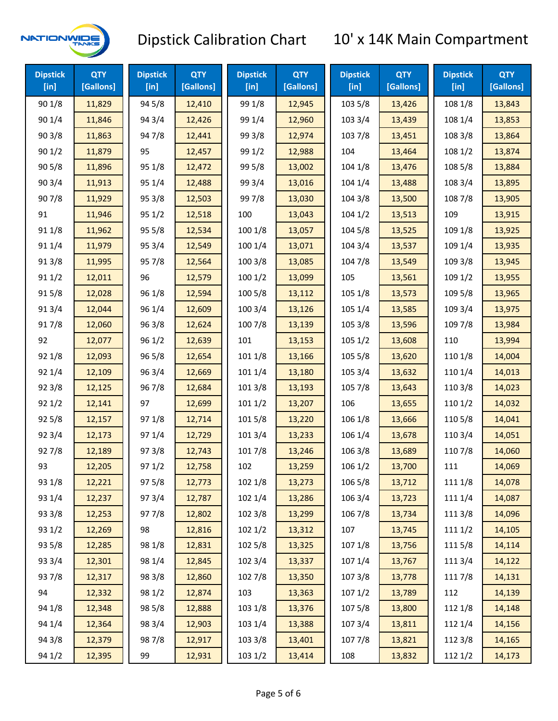

| <b>Dipstick</b><br>[in] | <b>QTY</b><br>[Gallons] | <b>Dipstick</b><br>[in] | <b>QTY</b><br>[Gallons] | <b>Dipstick</b><br>[in] | <b>QTY</b><br>[Gallons] | <b>Dipstick</b><br>[in] | <b>QTY</b><br>[Gallons] | <b>Dipstick</b><br>[in] | <b>QTY</b><br>[Gallons] |
|-------------------------|-------------------------|-------------------------|-------------------------|-------------------------|-------------------------|-------------------------|-------------------------|-------------------------|-------------------------|
| 90 1/8                  | 11,829                  | 94 5/8                  | 12,410                  | 99 1/8                  | 12,945                  | 103 5/8                 | 13,426                  | 108 1/8                 | 13,843                  |
| 90 1/4                  | 11,846                  | 94 3/4                  | 12,426                  | 99 1/4                  | 12,960                  | 103 3/4                 | 13,439                  | 108 1/4                 | 13,853                  |
| 903/8                   | 11,863                  | 947/8                   | 12,441                  | 99 3/8                  | 12,974                  | 103 7/8                 | 13,451                  | 108 3/8                 | 13,864                  |
| 901/2                   | 11,879                  | 95                      | 12,457                  | 99 1/2                  | 12,988                  | 104                     | 13,464                  | 108 1/2                 | 13,874                  |
| 905/8                   | 11,896                  | 95 1/8                  | 12,472                  | 99 5/8                  | 13,002                  | 104 1/8                 | 13,476                  | 108 5/8                 | 13,884                  |
| 90 3/4                  | 11,913                  | 95 1/4                  | 12,488                  | 99 3/4                  | 13,016                  | 104 1/4                 | 13,488                  | 108 3/4                 | 13,895                  |
| 907/8                   | 11,929                  | 95 3/8                  | 12,503                  | 997/8                   | 13,030                  | 104 3/8                 | 13,500                  | 108 7/8                 | 13,905                  |
| 91                      | 11,946                  | 95 1/2                  | 12,518                  | 100                     | 13,043                  | 1041/2                  | 13,513                  | 109                     | 13,915                  |
| 91 1/8                  | 11,962                  | 95 5/8                  | 12,534                  | 100 1/8                 | 13,057                  | 104 5/8                 | 13,525                  | 109 1/8                 | 13,925                  |
| 91 1/4                  | 11,979                  | 95 3/4                  | 12,549                  | 100 1/4                 | 13,071                  | 104 3/4                 | 13,537                  | 109 1/4                 | 13,935                  |
| 913/8                   | 11,995                  | 95 7/8                  | 12,564                  | 100 3/8                 | 13,085                  | 104 7/8                 | 13,549                  | 109 3/8                 | 13,945                  |
| 91 1/2                  | 12,011                  | 96                      | 12,579                  | 1001/2                  | 13,099                  | 105                     | 13,561                  | 109 1/2                 | 13,955                  |
| 915/8                   | 12,028                  | 96 1/8                  | 12,594                  | 100 5/8                 | 13,112                  | 105 1/8                 | 13,573                  | 109 5/8                 | 13,965                  |
| 913/4                   | 12,044                  | 96 1/4                  | 12,609                  | 100 3/4                 | 13,126                  | 105 1/4                 | 13,585                  | 109 3/4                 | 13,975                  |
| 917/8                   | 12,060                  | 963/8                   | 12,624                  | 100 7/8                 | 13,139                  | 105 3/8                 | 13,596                  | 109 7/8                 | 13,984                  |
| 92                      | 12,077                  | 96 1/2                  | 12,639                  | 101                     | 13,153                  | 105 1/2                 | 13,608                  | 110                     | 13,994                  |
| 92 1/8                  | 12,093                  | 96 5/8                  | 12,654                  | 101 1/8                 | 13,166                  | 105 5/8                 | 13,620                  | 110 1/8                 | 14,004                  |
| 92 1/4                  | 12,109                  | 96 3/4                  | 12,669                  | 101 1/4                 | 13,180                  | 105 3/4                 | 13,632                  | 110 1/4                 | 14,013                  |
| 92 3/8                  | 12,125                  | 967/8                   | 12,684                  | 101 3/8                 | 13,193                  | 105 7/8                 | 13,643                  | 110 3/8                 | 14,023                  |
| 921/2                   | 12,141                  | 97                      | 12,699                  | 1011/2                  | 13,207                  | 106                     | 13,655                  | 110 1/2                 | 14,032                  |
| 925/8                   | 12,157                  | 97 1/8                  | 12,714                  | 101 5/8                 | 13,220                  | 106 1/8                 | 13,666                  | 110 5/8                 | 14,041                  |
| 92 3/4                  | 12,173                  | 97 1/4                  | 12,729                  | 101 3/4                 | 13,233                  | 106 1/4                 | 13,678                  | 110 3/4                 | 14,051                  |
| 927/8                   | 12,189                  | 973/8                   | 12,743                  | 101 7/8                 | 13,246                  | 106 3/8                 | 13,689                  | 110 7/8                 | 14,060                  |
| 93                      | 12,205                  | 971/2                   | 12,758                  | 102                     | 13,259                  | 106 1/2                 | 13,700                  | 111                     | 14,069                  |
| 93 1/8                  | 12,221                  | 97 5/8                  | 12,773                  | 102 1/8                 | 13,273                  | 106 5/8                 | 13,712                  | 111 1/8                 | 14,078                  |
| 93 1/4                  | 12,237                  | 973/4                   | 12,787                  | 102 1/4                 | 13,286                  | 106 3/4                 | 13,723                  | 111 1/4                 | 14,087                  |
| 93 3/8                  | 12,253                  | 977/8                   | 12,802                  | 102 3/8                 | 13,299                  | 106 7/8                 | 13,734                  | 111 3/8                 | 14,096                  |
| 93 1/2                  | 12,269                  | 98                      | 12,816                  | 1021/2                  | 13,312                  | 107                     | 13,745                  | 111 1/2                 | 14,105                  |
| 93 5/8                  | 12,285                  | 98 1/8                  | 12,831                  | 102 5/8                 | 13,325                  | 107 1/8                 | 13,756                  | 111 5/8                 | 14,114                  |
| 93 3/4                  | 12,301                  | 98 1/4                  | 12,845                  | 102 3/4                 | 13,337                  | 107 1/4                 | 13,767                  | 111 3/4                 | 14,122                  |
| 937/8                   | 12,317                  | 98 3/8                  | 12,860                  | 102 7/8                 | 13,350                  | 1073/8                  | 13,778                  | 111 7/8                 | 14,131                  |
| 94                      | 12,332                  | 98 1/2                  | 12,874                  | 103                     | 13,363                  | 1071/2                  | 13,789                  | 112                     | 14,139                  |
| 94 1/8                  | 12,348                  | 98 5/8                  | 12,888                  | 103 1/8                 | 13,376                  | 1075/8                  | 13,800                  | 112 1/8                 | 14,148                  |
| 94 1/4                  | 12,364                  | 98 3/4                  | 12,903                  | 103 1/4                 | 13,388                  | 107 3/4                 | 13,811                  | 112 1/4                 | 14,156                  |
| 94 3/8                  | 12,379                  | 987/8                   | 12,917                  | 103 3/8                 | 13,401                  | 1077/8                  | 13,821                  | 112 3/8                 | 14,165                  |
| 94 1/2                  | 12,395                  | 99                      | 12,931                  | 103 1/2                 | 13,414                  | 108                     | 13,832                  | 112 1/2                 | 14,173                  |